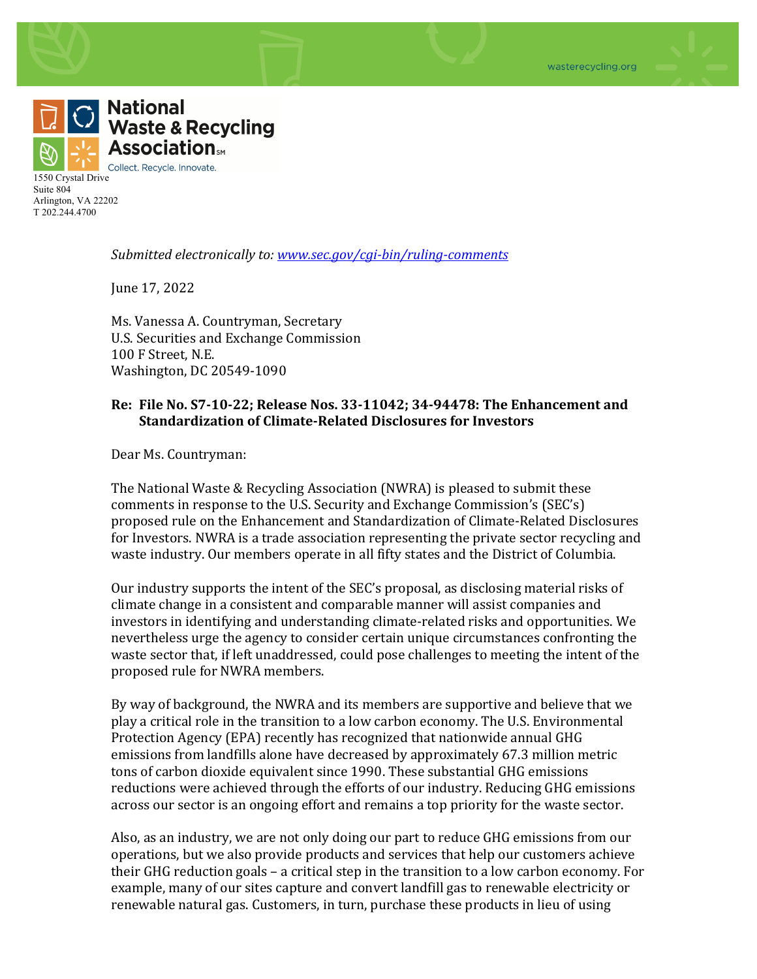

1550 Crystal Drive Suite 804 Arlington, VA 22202 T 202.244.4700

*Submitted electronically to: www.sec.gov/cgi-bin/ruling-comments* 

June 17, 2022

Ms. Vanessa A. Countryman, Secretary U.S. Securities and Exchange Commission 100 F Street, N.E. Washington, DC 20549-1090

## **Re:** File No. S7-10-22; Release Nos. 33-11042; 34-94478: The Enhancement and **Standardization of Climate-Related Disclosures for Investors**

Dear Ms. Countryman:

The National Waste & Recycling Association (NWRA) is pleased to submit these comments in response to the U.S. Security and Exchange Commission's (SEC's) proposed rule on the Enhancement and Standardization of Climate-Related Disclosures for Investors. NWRA is a trade association representing the private sector recycling and waste industry. Our members operate in all fifty states and the District of Columbia.

Our industry supports the intent of the SEC's proposal, as disclosing material risks of climate change in a consistent and comparable manner will assist companies and investors in identifying and understanding climate-related risks and opportunities. We nevertheless urge the agency to consider certain unique circumstances confronting the waste sector that, if left unaddressed, could pose challenges to meeting the intent of the proposed rule for NWRA members.

By way of background, the NWRA and its members are supportive and believe that we play a critical role in the transition to a low carbon economy. The U.S. Environmental Protection Agency (EPA) recently has recognized that nationwide annual GHG emissions from landfills alone have decreased by approximately 67.3 million metric tons of carbon dioxide equivalent since 1990. These substantial GHG emissions reductions were achieved through the efforts of our industry. Reducing GHG emissions across our sector is an ongoing effort and remains a top priority for the waste sector.

Also, as an industry, we are not only doing our part to reduce GHG emissions from our operations, but we also provide products and services that help our customers achieve their GHG reduction goals – a critical step in the transition to a low carbon economy. For example, many of our sites capture and convert landfill gas to renewable electricity or renewable natural gas. Customers, in turn, purchase these products in lieu of using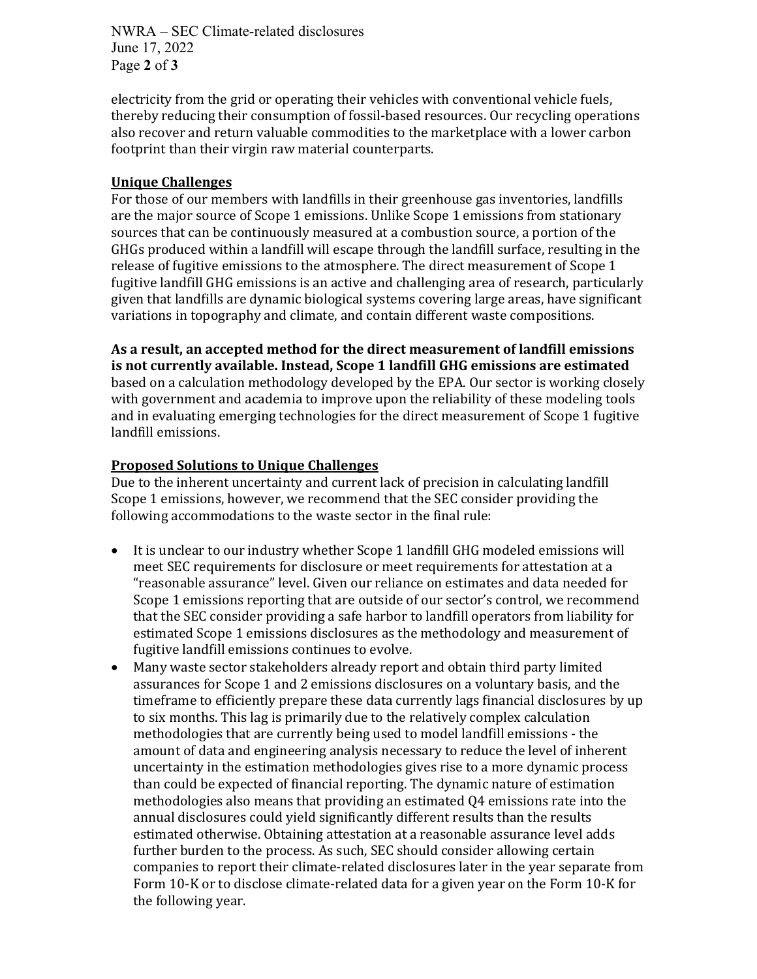NWRA – SEC Climate-related disclosures June 17, 2022 Page **2** of **3**

electricity from the grid or operating their vehicles with conventional vehicle fuels, thereby reducing their consumption of fossil-based resources. Our recycling operations also recover and return valuable commodities to the marketplace with a lower carbon footprint than their virgin raw material counterparts.

## **Unique Challenges**

For those of our members with landfills in their greenhouse gas inventories, landfills are the major source of Scope 1 emissions. Unlike Scope 1 emissions from stationary sources that can be continuously measured at a combustion source, a portion of the GHGs produced within a landfill will escape through the landfill surface, resulting in the release of fugitive emissions to the atmosphere. The direct measurement of Scope 1 fugitive landfill GHG emissions is an active and challenging area of research, particularly given that landfills are dynamic biological systems covering large areas, have significant variations in topography and climate, and contain different waste compositions.

As a result, an accepted method for the direct measurement of landfill emissions **is not currently available. Instead, Scope 1 landfill GHG emissions are estimated** based on a calculation methodology developed by the EPA. Our sector is working closely with government and academia to improve upon the reliability of these modeling tools and in evaluating emerging technologies for the direct measurement of Scope 1 fugitive landfill emissions.

## **Proposed Solutions to Unique Challenges**

Due to the inherent uncertainty and current lack of precision in calculating landfill Scope 1 emissions, however, we recommend that the SEC consider providing the following accommodations to the waste sector in the final rule:

- It is unclear to our industry whether Scope 1 landfill GHG modeled emissions will meet SEC requirements for disclosure or meet requirements for attestation at a "reasonable assurance" level. Given our reliance on estimates and data needed for Scope 1 emissions reporting that are outside of our sector's control, we recommend that the SEC consider providing a safe harbor to landfill operators from liability for estimated Scope 1 emissions disclosures as the methodology and measurement of fugitive landfill emissions continues to evolve.
- Many waste sector stakeholders already report and obtain third party limited assurances for Scope 1 and 2 emissions disclosures on a voluntary basis, and the timeframe to efficiently prepare these data currently lags financial disclosures by up to six months. This lag is primarily due to the relatively complex calculation methodologies that are currently being used to model landfill emissions - the amount of data and engineering analysis necessary to reduce the level of inherent uncertainty in the estimation methodologies gives rise to a more dynamic process than could be expected of financial reporting. The dynamic nature of estimation methodologies also means that providing an estimated  $Q4$  emissions rate into the annual disclosures could yield significantly different results than the results estimated otherwise. Obtaining attestation at a reasonable assurance level adds further burden to the process. As such, SEC should consider allowing certain companies to report their climate-related disclosures later in the year separate from Form 10-K or to disclose climate-related data for a given year on the Form 10-K for the following year.